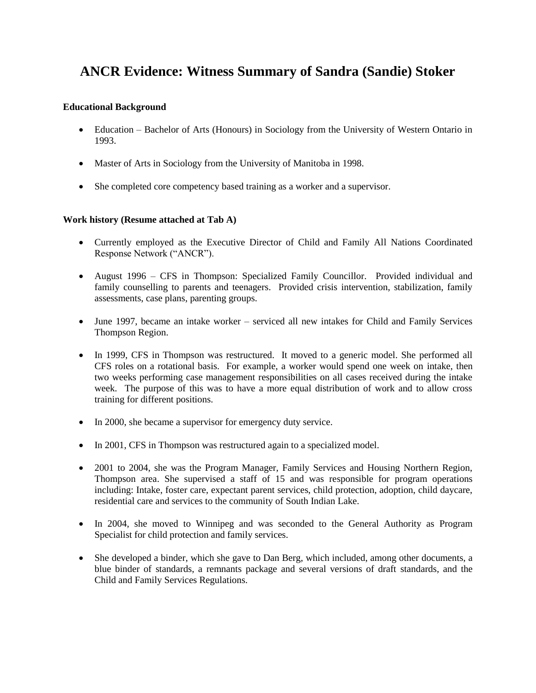# **ANCR Evidence: Witness Summary of Sandra (Sandie) Stoker**

### **Educational Background**

- Education Bachelor of Arts (Honours) in Sociology from the University of Western Ontario in 1993.
- Master of Arts in Sociology from the University of Manitoba in 1998.
- She completed core competency based training as a worker and a supervisor.

# **Work history (Resume attached at Tab A)**

- Currently employed as the Executive Director of Child and Family All Nations Coordinated Response Network ("ANCR").
- August 1996 CFS in Thompson: Specialized Family Councillor. Provided individual and family counselling to parents and teenagers. Provided crisis intervention, stabilization, family assessments, case plans, parenting groups.
- June 1997, became an intake worker serviced all new intakes for Child and Family Services Thompson Region.
- In 1999, CFS in Thompson was restructured. It moved to a generic model. She performed all CFS roles on a rotational basis. For example, a worker would spend one week on intake, then two weeks performing case management responsibilities on all cases received during the intake week. The purpose of this was to have a more equal distribution of work and to allow cross training for different positions.
- In 2000, she became a supervisor for emergency duty service.
- In 2001, CFS in Thompson was restructured again to a specialized model.
- 2001 to 2004, she was the Program Manager, Family Services and Housing Northern Region, Thompson area. She supervised a staff of 15 and was responsible for program operations including: Intake, foster care, expectant parent services, child protection, adoption, child daycare, residential care and services to the community of South Indian Lake.
- In 2004, she moved to Winnipeg and was seconded to the General Authority as Program Specialist for child protection and family services.
- She developed a binder, which she gave to Dan Berg, which included, among other documents, a blue binder of standards, a remnants package and several versions of draft standards, and the Child and Family Services Regulations.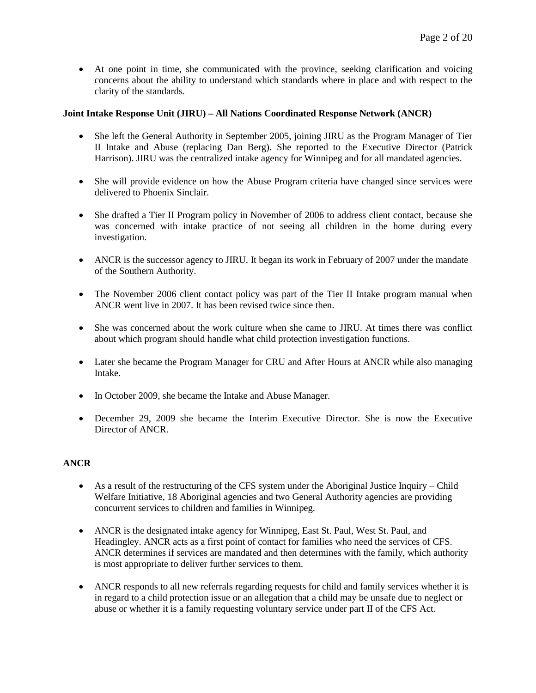At one point in time, she communicated with the province, seeking clarification and voicing concerns about the ability to understand which standards where in place and with respect to the clarity of the standards.

## **Joint Intake Response Unit (JIRU) – All Nations Coordinated Response Network (ANCR)**

- She left the General Authority in September 2005, joining JIRU as the Program Manager of Tier II Intake and Abuse (replacing Dan Berg). She reported to the Executive Director (Patrick Harrison). JIRU was the centralized intake agency for Winnipeg and for all mandated agencies.
- She will provide evidence on how the Abuse Program criteria have changed since services were delivered to Phoenix Sinclair.
- She drafted a Tier II Program policy in November of 2006 to address client contact, because she was concerned with intake practice of not seeing all children in the home during every investigation.
- ANCR is the successor agency to JIRU. It began its work in February of 2007 under the mandate of the Southern Authority.
- The November 2006 client contact policy was part of the Tier II Intake program manual when ANCR went live in 2007. It has been revised twice since then.
- She was concerned about the work culture when she came to JIRU. At times there was conflict about which program should handle what child protection investigation functions.
- Later she became the Program Manager for CRU and After Hours at ANCR while also managing Intake.
- In October 2009, she became the Intake and Abuse Manager.
- December 29, 2009 she became the Interim Executive Director. She is now the Executive Director of ANCR.

#### **ANCR**

- As a result of the restructuring of the CFS system under the Aboriginal Justice Inquiry Child Welfare Initiative, 18 Aboriginal agencies and two General Authority agencies are providing concurrent services to children and families in Winnipeg.
- ANCR is the designated intake agency for Winnipeg, East St. Paul, West St. Paul, and Headingley. ANCR acts as a first point of contact for families who need the services of CFS. ANCR determines if services are mandated and then determines with the family, which authority is most appropriate to deliver further services to them.
- ANCR responds to all new referrals regarding requests for child and family services whether it is in regard to a child protection issue or an allegation that a child may be unsafe due to neglect or abuse or whether it is a family requesting voluntary service under part II of the CFS Act.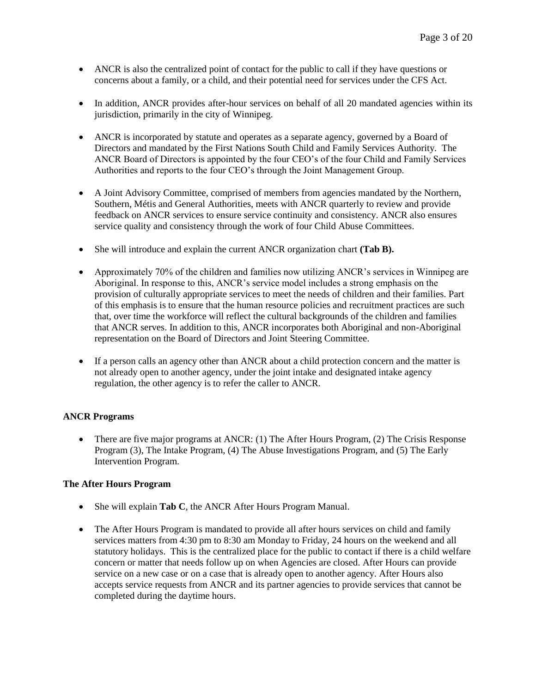- ANCR is also the centralized point of contact for the public to call if they have questions or concerns about a family, or a child, and their potential need for services under the CFS Act.
- In addition, ANCR provides after-hour services on behalf of all 20 mandated agencies within its jurisdiction, primarily in the city of Winnipeg.
- ANCR is incorporated by statute and operates as a separate agency, governed by a Board of Directors and mandated by the First Nations South Child and Family Services Authority. The ANCR Board of Directors is appointed by the four CEO's of the four Child and Family Services Authorities and reports to the four CEO's through the Joint Management Group.
- A Joint Advisory Committee, comprised of members from agencies mandated by the Northern, Southern, Métis and General Authorities, meets with ANCR quarterly to review and provide feedback on ANCR services to ensure service continuity and consistency. ANCR also ensures service quality and consistency through the work of four Child Abuse Committees.
- She will introduce and explain the current ANCR organization chart **(Tab B).**
- Approximately 70% of the children and families now utilizing ANCR's services in Winnipeg are Aboriginal. In response to this, ANCR's service model includes a strong emphasis on the provision of culturally appropriate services to meet the needs of children and their families. Part of this emphasis is to ensure that the human resource policies and recruitment practices are such that, over time the workforce will reflect the cultural backgrounds of the children and families that ANCR serves. In addition to this, ANCR incorporates both Aboriginal and non-Aboriginal representation on the Board of Directors and Joint Steering Committee.
- If a person calls an agency other than ANCR about a child protection concern and the matter is not already open to another agency, under the joint intake and designated intake agency regulation, the other agency is to refer the caller to ANCR.

# **ANCR Programs**

 There are five major programs at ANCR: (1) The After Hours Program, (2) The Crisis Response Program (3), The Intake Program, (4) The Abuse Investigations Program, and (5) The Early Intervention Program.

#### **The After Hours Program**

- She will explain **Tab C**, the ANCR After Hours Program Manual.
- The After Hours Program is mandated to provide all after hours services on child and family services matters from 4:30 pm to 8:30 am Monday to Friday, 24 hours on the weekend and all statutory holidays. This is the centralized place for the public to contact if there is a child welfare concern or matter that needs follow up on when Agencies are closed. After Hours can provide service on a new case or on a case that is already open to another agency. After Hours also accepts service requests from ANCR and its partner agencies to provide services that cannot be completed during the daytime hours.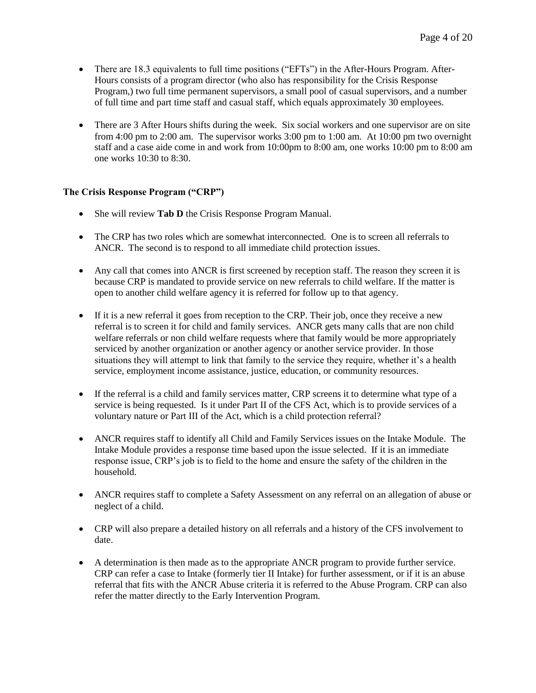- There are 18.3 equivalents to full time positions ("EFTs") in the After-Hours Program. After-Hours consists of a program director (who also has responsibility for the Crisis Response Program,) two full time permanent supervisors, a small pool of casual supervisors, and a number of full time and part time staff and casual staff, which equals approximately 30 employees.
- There are 3 After Hours shifts during the week. Six social workers and one supervisor are on site from 4:00 pm to 2:00 am. The supervisor works 3:00 pm to 1:00 am. At 10:00 pm two overnight staff and a case aide come in and work from 10:00pm to 8:00 am, one works 10:00 pm to 8:00 am one works 10:30 to 8:30.

## **The Crisis Response Program ("CRP")**

- She will review **Tab D** the Crisis Response Program Manual.
- The CRP has two roles which are somewhat interconnected. One is to screen all referrals to ANCR. The second is to respond to all immediate child protection issues.
- Any call that comes into ANCR is first screened by reception staff. The reason they screen it is because CRP is mandated to provide service on new referrals to child welfare. If the matter is open to another child welfare agency it is referred for follow up to that agency.
- If it is a new referral it goes from reception to the CRP. Their job, once they receive a new referral is to screen it for child and family services. ANCR gets many calls that are non child welfare referrals or non child welfare requests where that family would be more appropriately serviced by another organization or another agency or another service provider. In those situations they will attempt to link that family to the service they require, whether it's a health service, employment income assistance, justice, education, or community resources.
- If the referral is a child and family services matter, CRP screens it to determine what type of a service is being requested. Is it under Part II of the CFS Act, which is to provide services of a voluntary nature or Part III of the Act, which is a child protection referral?
- ANCR requires staff to identify all Child and Family Services issues on the Intake Module. The Intake Module provides a response time based upon the issue selected. If it is an immediate response issue, CRP's job is to field to the home and ensure the safety of the children in the household.
- ANCR requires staff to complete a Safety Assessment on any referral on an allegation of abuse or neglect of a child.
- CRP will also prepare a detailed history on all referrals and a history of the CFS involvement to date.
- A determination is then made as to the appropriate ANCR program to provide further service. CRP can refer a case to Intake (formerly tier II Intake) for further assessment, or if it is an abuse referral that fits with the ANCR Abuse criteria it is referred to the Abuse Program. CRP can also refer the matter directly to the Early Intervention Program.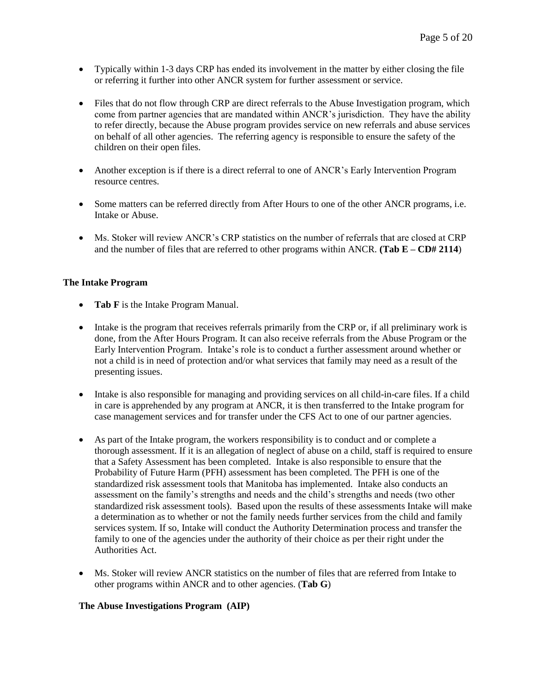- Typically within 1-3 days CRP has ended its involvement in the matter by either closing the file or referring it further into other ANCR system for further assessment or service.
- Files that do not flow through CRP are direct referrals to the Abuse Investigation program, which come from partner agencies that are mandated within ANCR's jurisdiction. They have the ability to refer directly, because the Abuse program provides service on new referrals and abuse services on behalf of all other agencies. The referring agency is responsible to ensure the safety of the children on their open files.
- Another exception is if there is a direct referral to one of ANCR's Early Intervention Program resource centres.
- Some matters can be referred directly from After Hours to one of the other ANCR programs, i.e. Intake or Abuse.
- Ms. Stoker will review ANCR's CRP statistics on the number of referrals that are closed at CRP and the number of files that are referred to other programs within ANCR. **(Tab E – CD# 2114**)

## **The Intake Program**

- **Tab F** is the Intake Program Manual.
- Intake is the program that receives referrals primarily from the CRP or, if all preliminary work is done, from the After Hours Program. It can also receive referrals from the Abuse Program or the Early Intervention Program. Intake's role is to conduct a further assessment around whether or not a child is in need of protection and/or what services that family may need as a result of the presenting issues.
- Intake is also responsible for managing and providing services on all child-in-care files. If a child in care is apprehended by any program at ANCR, it is then transferred to the Intake program for case management services and for transfer under the CFS Act to one of our partner agencies.
- As part of the Intake program, the workers responsibility is to conduct and or complete a thorough assessment. If it is an allegation of neglect of abuse on a child, staff is required to ensure that a Safety Assessment has been completed. Intake is also responsible to ensure that the Probability of Future Harm (PFH) assessment has been completed. The PFH is one of the standardized risk assessment tools that Manitoba has implemented. Intake also conducts an assessment on the family's strengths and needs and the child's strengths and needs (two other standardized risk assessment tools). Based upon the results of these assessments Intake will make a determination as to whether or not the family needs further services from the child and family services system. If so, Intake will conduct the Authority Determination process and transfer the family to one of the agencies under the authority of their choice as per their right under the Authorities Act.
- Ms. Stoker will review ANCR statistics on the number of files that are referred from Intake to other programs within ANCR and to other agencies. (**Tab G**)

#### **The Abuse Investigations Program (AIP)**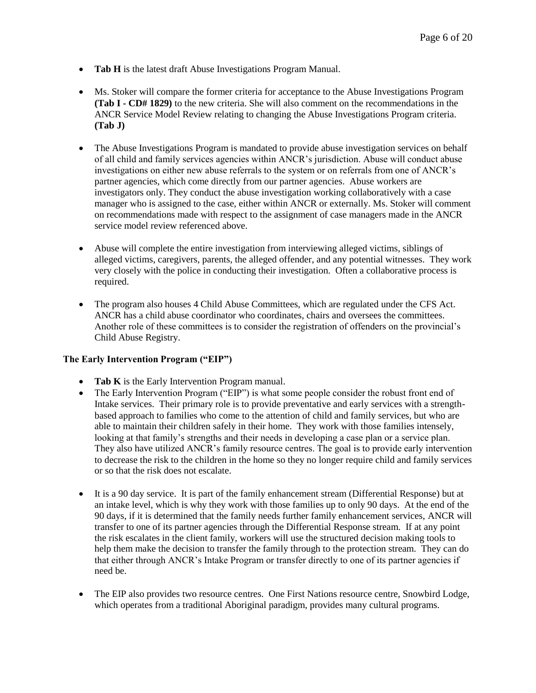- **Tab H** is the latest draft Abuse Investigations Program Manual.
- Ms. Stoker will compare the former criteria for acceptance to the Abuse Investigations Program **(Tab I - CD# 1829)** to the new criteria. She will also comment on the recommendations in the ANCR Service Model Review relating to changing the Abuse Investigations Program criteria. **(Tab J)**
- The Abuse Investigations Program is mandated to provide abuse investigation services on behalf of all child and family services agencies within ANCR's jurisdiction. Abuse will conduct abuse investigations on either new abuse referrals to the system or on referrals from one of ANCR's partner agencies, which come directly from our partner agencies. Abuse workers are investigators only. They conduct the abuse investigation working collaboratively with a case manager who is assigned to the case, either within ANCR or externally. Ms. Stoker will comment on recommendations made with respect to the assignment of case managers made in the ANCR service model review referenced above.
- Abuse will complete the entire investigation from interviewing alleged victims, siblings of alleged victims, caregivers, parents, the alleged offender, and any potential witnesses. They work very closely with the police in conducting their investigation. Often a collaborative process is required.
- The program also houses 4 Child Abuse Committees, which are regulated under the CFS Act. ANCR has a child abuse coordinator who coordinates, chairs and oversees the committees. Another role of these committees is to consider the registration of offenders on the provincial's Child Abuse Registry.

#### **The Early Intervention Program ("EIP")**

- **Tab K** is the Early Intervention Program manual.
- The Early Intervention Program ("EIP") is what some people consider the robust front end of Intake services. Their primary role is to provide preventative and early services with a strengthbased approach to families who come to the attention of child and family services, but who are able to maintain their children safely in their home. They work with those families intensely, looking at that family's strengths and their needs in developing a case plan or a service plan. They also have utilized ANCR's family resource centres. The goal is to provide early intervention to decrease the risk to the children in the home so they no longer require child and family services or so that the risk does not escalate.
- It is a 90 day service. It is part of the family enhancement stream (Differential Response) but at an intake level, which is why they work with those families up to only 90 days. At the end of the 90 days, if it is determined that the family needs further family enhancement services, ANCR will transfer to one of its partner agencies through the Differential Response stream. If at any point the risk escalates in the client family, workers will use the structured decision making tools to help them make the decision to transfer the family through to the protection stream. They can do that either through ANCR's Intake Program or transfer directly to one of its partner agencies if need be.
- The EIP also provides two resource centres. One First Nations resource centre, Snowbird Lodge, which operates from a traditional Aboriginal paradigm, provides many cultural programs.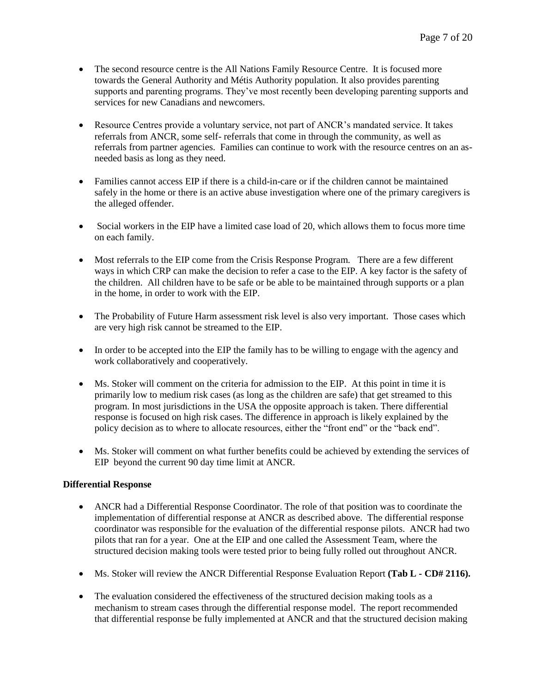- The second resource centre is the All Nations Family Resource Centre. It is focused more towards the General Authority and Métis Authority population. It also provides parenting supports and parenting programs. They've most recently been developing parenting supports and services for new Canadians and newcomers.
- Resource Centres provide a voluntary service, not part of ANCR's mandated service. It takes referrals from ANCR, some self- referrals that come in through the community, as well as referrals from partner agencies. Families can continue to work with the resource centres on an asneeded basis as long as they need.
- Families cannot access EIP if there is a child-in-care or if the children cannot be maintained safely in the home or there is an active abuse investigation where one of the primary caregivers is the alleged offender.
- Social workers in the EIP have a limited case load of 20, which allows them to focus more time on each family.
- Most referrals to the EIP come from the Crisis Response Program. There are a few different ways in which CRP can make the decision to refer a case to the EIP. A key factor is the safety of the children. All children have to be safe or be able to be maintained through supports or a plan in the home, in order to work with the EIP.
- The Probability of Future Harm assessment risk level is also very important. Those cases which are very high risk cannot be streamed to the EIP.
- In order to be accepted into the EIP the family has to be willing to engage with the agency and work collaboratively and cooperatively.
- Ms. Stoker will comment on the criteria for admission to the EIP. At this point in time it is primarily low to medium risk cases (as long as the children are safe) that get streamed to this program. In most jurisdictions in the USA the opposite approach is taken. There differential response is focused on high risk cases. The difference in approach is likely explained by the policy decision as to where to allocate resources, either the "front end" or the "back end".
- Ms. Stoker will comment on what further benefits could be achieved by extending the services of EIP beyond the current 90 day time limit at ANCR.

# **Differential Response**

- ANCR had a Differential Response Coordinator. The role of that position was to coordinate the implementation of differential response at ANCR as described above. The differential response coordinator was responsible for the evaluation of the differential response pilots. ANCR had two pilots that ran for a year. One at the EIP and one called the Assessment Team, where the structured decision making tools were tested prior to being fully rolled out throughout ANCR.
- Ms. Stoker will review the ANCR Differential Response Evaluation Report **(Tab L - CD# 2116).**
- The evaluation considered the effectiveness of the structured decision making tools as a mechanism to stream cases through the differential response model. The report recommended that differential response be fully implemented at ANCR and that the structured decision making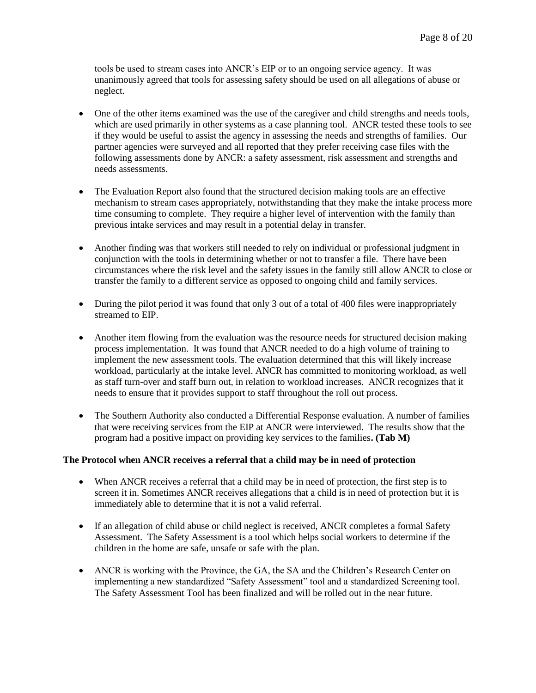tools be used to stream cases into ANCR's EIP or to an ongoing service agency. It was unanimously agreed that tools for assessing safety should be used on all allegations of abuse or neglect.

- One of the other items examined was the use of the caregiver and child strengths and needs tools, which are used primarily in other systems as a case planning tool. ANCR tested these tools to see if they would be useful to assist the agency in assessing the needs and strengths of families. Our partner agencies were surveyed and all reported that they prefer receiving case files with the following assessments done by ANCR: a safety assessment, risk assessment and strengths and needs assessments.
- The Evaluation Report also found that the structured decision making tools are an effective mechanism to stream cases appropriately, notwithstanding that they make the intake process more time consuming to complete. They require a higher level of intervention with the family than previous intake services and may result in a potential delay in transfer.
- Another finding was that workers still needed to rely on individual or professional judgment in conjunction with the tools in determining whether or not to transfer a file. There have been circumstances where the risk level and the safety issues in the family still allow ANCR to close or transfer the family to a different service as opposed to ongoing child and family services.
- During the pilot period it was found that only 3 out of a total of 400 files were inappropriately streamed to EIP.
- Another item flowing from the evaluation was the resource needs for structured decision making process implementation. It was found that ANCR needed to do a high volume of training to implement the new assessment tools. The evaluation determined that this will likely increase workload, particularly at the intake level. ANCR has committed to monitoring workload, as well as staff turn-over and staff burn out, in relation to workload increases. ANCR recognizes that it needs to ensure that it provides support to staff throughout the roll out process.
- The Southern Authority also conducted a Differential Response evaluation. A number of families that were receiving services from the EIP at ANCR were interviewed. The results show that the program had a positive impact on providing key services to the families**. (Tab M)**

# **The Protocol when ANCR receives a referral that a child may be in need of protection**

- When ANCR receives a referral that a child may be in need of protection, the first step is to screen it in. Sometimes ANCR receives allegations that a child is in need of protection but it is immediately able to determine that it is not a valid referral.
- If an allegation of child abuse or child neglect is received, ANCR completes a formal Safety Assessment. The Safety Assessment is a tool which helps social workers to determine if the children in the home are safe, unsafe or safe with the plan.
- ANCR is working with the Province, the GA, the SA and the Children's Research Center on implementing a new standardized "Safety Assessment" tool and a standardized Screening tool. The Safety Assessment Tool has been finalized and will be rolled out in the near future.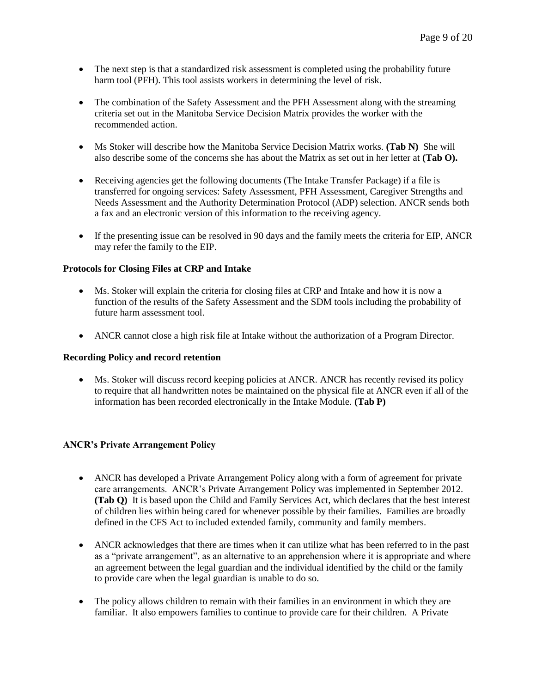- The next step is that a standardized risk assessment is completed using the probability future harm tool (PFH). This tool assists workers in determining the level of risk.
- The combination of the Safety Assessment and the PFH Assessment along with the streaming criteria set out in the Manitoba Service Decision Matrix provides the worker with the recommended action.
- Ms Stoker will describe how the Manitoba Service Decision Matrix works. **(Tab N)** She will also describe some of the concerns she has about the Matrix as set out in her letter at **(Tab O).**
- Receiving agencies get the following documents (The Intake Transfer Package) if a file is transferred for ongoing services: Safety Assessment, PFH Assessment, Caregiver Strengths and Needs Assessment and the Authority Determination Protocol (ADP) selection. ANCR sends both a fax and an electronic version of this information to the receiving agency.
- If the presenting issue can be resolved in 90 days and the family meets the criteria for EIP, ANCR may refer the family to the EIP.

#### **Protocols for Closing Files at CRP and Intake**

- Ms. Stoker will explain the criteria for closing files at CRP and Intake and how it is now a function of the results of the Safety Assessment and the SDM tools including the probability of future harm assessment tool.
- ANCR cannot close a high risk file at Intake without the authorization of a Program Director.

#### **Recording Policy and record retention**

• Ms. Stoker will discuss record keeping policies at ANCR. ANCR has recently revised its policy to require that all handwritten notes be maintained on the physical file at ANCR even if all of the information has been recorded electronically in the Intake Module. **(Tab P)**

# **ANCR's Private Arrangement Policy**

- ANCR has developed a Private Arrangement Policy along with a form of agreement for private care arrangements. ANCR's Private Arrangement Policy was implemented in September 2012. **(Tab Q)** It is based upon the Child and Family Services Act, which declares that the best interest of children lies within being cared for whenever possible by their families. Families are broadly defined in the CFS Act to included extended family, community and family members.
- ANCR acknowledges that there are times when it can utilize what has been referred to in the past as a "private arrangement", as an alternative to an apprehension where it is appropriate and where an agreement between the legal guardian and the individual identified by the child or the family to provide care when the legal guardian is unable to do so.
- The policy allows children to remain with their families in an environment in which they are familiar. It also empowers families to continue to provide care for their children. A Private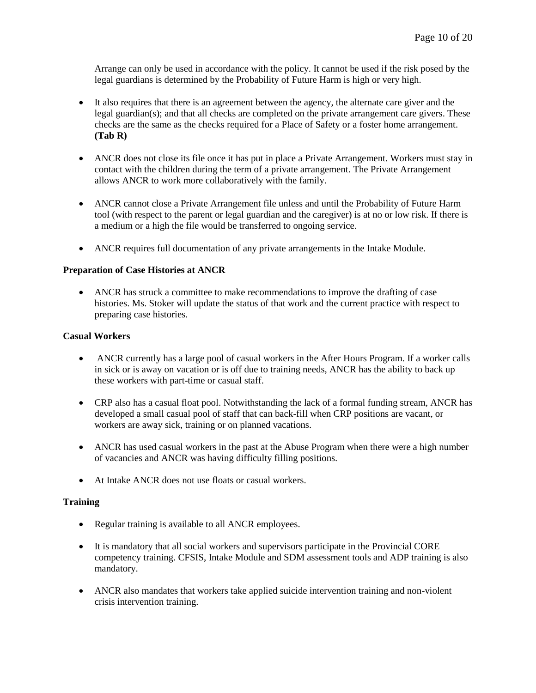Arrange can only be used in accordance with the policy. It cannot be used if the risk posed by the legal guardians is determined by the Probability of Future Harm is high or very high.

- It also requires that there is an agreement between the agency, the alternate care giver and the legal guardian(s); and that all checks are completed on the private arrangement care givers. These checks are the same as the checks required for a Place of Safety or a foster home arrangement. **(Tab R)**
- ANCR does not close its file once it has put in place a Private Arrangement. Workers must stay in contact with the children during the term of a private arrangement. The Private Arrangement allows ANCR to work more collaboratively with the family.
- ANCR cannot close a Private Arrangement file unless and until the Probability of Future Harm tool (with respect to the parent or legal guardian and the caregiver) is at no or low risk. If there is a medium or a high the file would be transferred to ongoing service.
- ANCR requires full documentation of any private arrangements in the Intake Module.

## **Preparation of Case Histories at ANCR**

 ANCR has struck a committee to make recommendations to improve the drafting of case histories. Ms. Stoker will update the status of that work and the current practice with respect to preparing case histories.

# **Casual Workers**

- ANCR currently has a large pool of casual workers in the After Hours Program. If a worker calls in sick or is away on vacation or is off due to training needs, ANCR has the ability to back up these workers with part-time or casual staff.
- CRP also has a casual float pool. Notwithstanding the lack of a formal funding stream, ANCR has developed a small casual pool of staff that can back-fill when CRP positions are vacant, or workers are away sick, training or on planned vacations.
- ANCR has used casual workers in the past at the Abuse Program when there were a high number of vacancies and ANCR was having difficulty filling positions.
- At Intake ANCR does not use floats or casual workers.

#### **Training**

- Regular training is available to all ANCR employees.
- It is mandatory that all social workers and supervisors participate in the Provincial CORE competency training. CFSIS, Intake Module and SDM assessment tools and ADP training is also mandatory.
- ANCR also mandates that workers take applied suicide intervention training and non-violent crisis intervention training.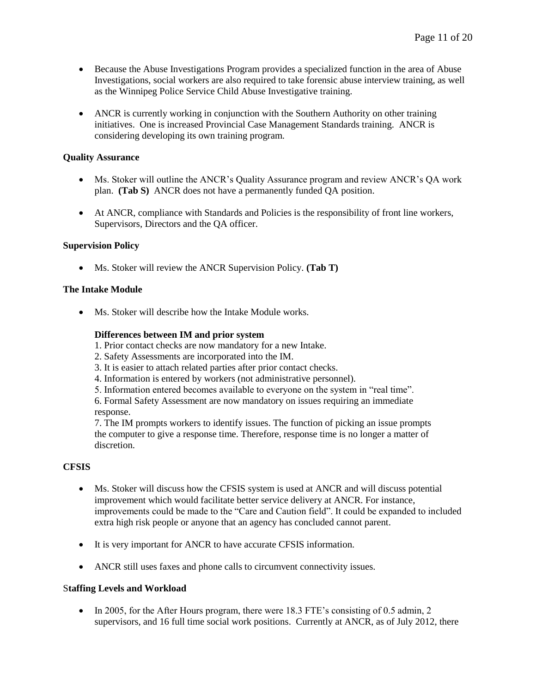- Because the Abuse Investigations Program provides a specialized function in the area of Abuse Investigations, social workers are also required to take forensic abuse interview training, as well as the Winnipeg Police Service Child Abuse Investigative training.
- ANCR is currently working in conjunction with the Southern Authority on other training initiatives. One is increased Provincial Case Management Standards training. ANCR is considering developing its own training program.

#### **Quality Assurance**

- Ms. Stoker will outline the ANCR's Quality Assurance program and review ANCR's QA work plan. **(Tab S)** ANCR does not have a permanently funded QA position.
- At ANCR, compliance with Standards and Policies is the responsibility of front line workers, Supervisors, Directors and the QA officer.

## **Supervision Policy**

Ms. Stoker will review the ANCR Supervision Policy. **(Tab T)** 

## **The Intake Module**

• Ms. Stoker will describe how the Intake Module works.

#### **Differences between IM and prior system**

- 1. Prior contact checks are now mandatory for a new Intake.
- 2. Safety Assessments are incorporated into the IM.
- 3. It is easier to attach related parties after prior contact checks.
- 4. Information is entered by workers (not administrative personnel).
- 5. Information entered becomes available to everyone on the system in "real time".

6. Formal Safety Assessment are now mandatory on issues requiring an immediate response.

7. The IM prompts workers to identify issues. The function of picking an issue prompts the computer to give a response time. Therefore, response time is no longer a matter of discretion.

#### **CFSIS**

- Ms. Stoker will discuss how the CFSIS system is used at ANCR and will discuss potential improvement which would facilitate better service delivery at ANCR. For instance, improvements could be made to the "Care and Caution field". It could be expanded to included extra high risk people or anyone that an agency has concluded cannot parent.
- It is very important for ANCR to have accurate CFSIS information.
- ANCR still uses faxes and phone calls to circumvent connectivity issues.

#### S**taffing Levels and Workload**

• In 2005, for the After Hours program, there were 18.3 FTE's consisting of 0.5 admin, 2 supervisors, and 16 full time social work positions. Currently at ANCR, as of July 2012, there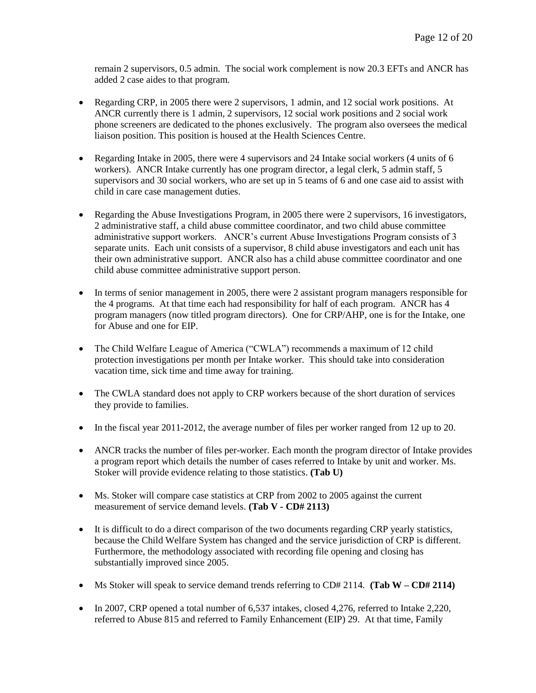remain 2 supervisors, 0.5 admin. The social work complement is now 20.3 EFTs and ANCR has added 2 case aides to that program.

- Regarding CRP, in 2005 there were 2 supervisors, 1 admin, and 12 social work positions. At ANCR currently there is 1 admin, 2 supervisors, 12 social work positions and 2 social work phone screeners are dedicated to the phones exclusively. The program also oversees the medical liaison position. This position is housed at the Health Sciences Centre.
- Regarding Intake in 2005, there were 4 supervisors and 24 Intake social workers (4 units of 6 workers). ANCR Intake currently has one program director, a legal clerk, 5 admin staff, 5 supervisors and 30 social workers, who are set up in 5 teams of 6 and one case aid to assist with child in care case management duties.
- Regarding the Abuse Investigations Program, in 2005 there were 2 supervisors, 16 investigators, 2 administrative staff, a child abuse committee coordinator, and two child abuse committee administrative support workers. ANCR's current Abuse Investigations Program consists of 3 separate units. Each unit consists of a supervisor, 8 child abuse investigators and each unit has their own administrative support. ANCR also has a child abuse committee coordinator and one child abuse committee administrative support person.
- In terms of senior management in 2005, there were 2 assistant program managers responsible for the 4 programs. At that time each had responsibility for half of each program. ANCR has 4 program managers (now titled program directors). One for CRP/AHP, one is for the Intake, one for Abuse and one for EIP.
- The Child Welfare League of America ("CWLA") recommends a maximum of 12 child protection investigations per month per Intake worker. This should take into consideration vacation time, sick time and time away for training.
- The CWLA standard does not apply to CRP workers because of the short duration of services they provide to families.
- In the fiscal year  $2011-2012$ , the average number of files per worker ranged from 12 up to 20.
- ANCR tracks the number of files per-worker. Each month the program director of Intake provides a program report which details the number of cases referred to Intake by unit and worker. Ms. Stoker will provide evidence relating to those statistics. **(Tab U)**
- Ms. Stoker will compare case statistics at CRP from 2002 to 2005 against the current measurement of service demand levels. **(Tab V - CD# 2113)**
- It is difficult to do a direct comparison of the two documents regarding CRP yearly statistics, because the Child Welfare System has changed and the service jurisdiction of CRP is different. Furthermore, the methodology associated with recording file opening and closing has substantially improved since 2005.
- Ms Stoker will speak to service demand trends referring to CD# 2114. **(Tab W – CD# 2114)**
- $\bullet$  In 2007, CRP opened a total number of 6,537 intakes, closed 4,276, referred to Intake 2,220, referred to Abuse 815 and referred to Family Enhancement (EIP) 29. At that time, Family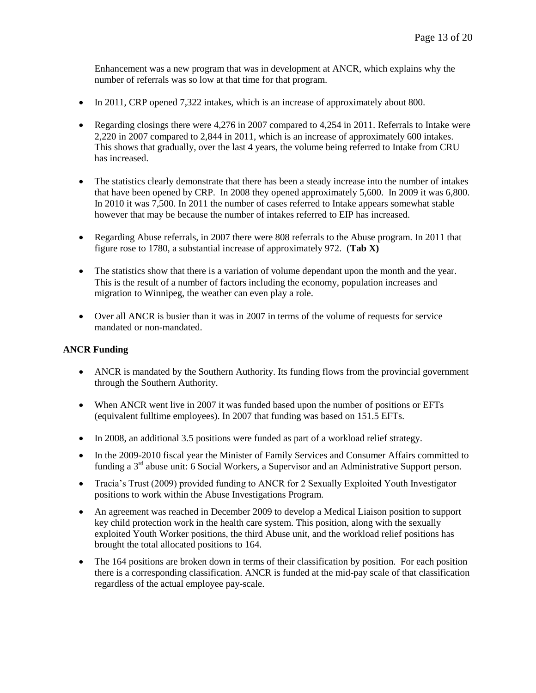Enhancement was a new program that was in development at ANCR, which explains why the number of referrals was so low at that time for that program.

- In 2011, CRP opened 7,322 intakes, which is an increase of approximately about 800.
- Regarding closings there were 4,276 in 2007 compared to 4,254 in 2011. Referrals to Intake were 2,220 in 2007 compared to 2,844 in 2011, which is an increase of approximately 600 intakes. This shows that gradually, over the last 4 years, the volume being referred to Intake from CRU has increased.
- The statistics clearly demonstrate that there has been a steady increase into the number of intakes that have been opened by CRP. In 2008 they opened approximately 5,600. In 2009 it was 6,800. In 2010 it was 7,500. In 2011 the number of cases referred to Intake appears somewhat stable however that may be because the number of intakes referred to EIP has increased.
- Regarding Abuse referrals, in 2007 there were 808 referrals to the Abuse program. In 2011 that figure rose to 1780, a substantial increase of approximately 972. (**Tab X)**
- The statistics show that there is a variation of volume dependant upon the month and the year. This is the result of a number of factors including the economy, population increases and migration to Winnipeg, the weather can even play a role.
- Over all ANCR is busier than it was in 2007 in terms of the volume of requests for service mandated or non-mandated.

# **ANCR Funding**

- ANCR is mandated by the Southern Authority. Its funding flows from the provincial government through the Southern Authority.
- When ANCR went live in 2007 it was funded based upon the number of positions or EFTs (equivalent fulltime employees). In 2007 that funding was based on 151.5 EFTs.
- In 2008, an additional 3.5 positions were funded as part of a workload relief strategy.
- In the 2009-2010 fiscal year the Minister of Family Services and Consumer Affairs committed to funding a 3<sup>rd</sup> abuse unit: 6 Social Workers, a Supervisor and an Administrative Support person.
- Tracia's Trust (2009) provided funding to ANCR for 2 Sexually Exploited Youth Investigator positions to work within the Abuse Investigations Program.
- An agreement was reached in December 2009 to develop a Medical Liaison position to support key child protection work in the health care system. This position, along with the sexually exploited Youth Worker positions, the third Abuse unit, and the workload relief positions has brought the total allocated positions to 164.
- The 164 positions are broken down in terms of their classification by position. For each position there is a corresponding classification. ANCR is funded at the mid-pay scale of that classification regardless of the actual employee pay-scale.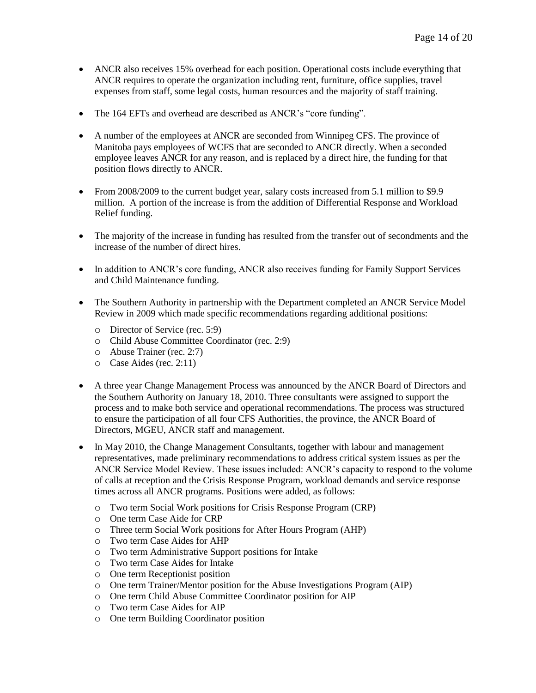- ANCR also receives 15% overhead for each position. Operational costs include everything that ANCR requires to operate the organization including rent, furniture, office supplies, travel expenses from staff, some legal costs, human resources and the majority of staff training.
- The 164 EFTs and overhead are described as ANCR's "core funding".
- A number of the employees at ANCR are seconded from Winnipeg CFS. The province of Manitoba pays employees of WCFS that are seconded to ANCR directly. When a seconded employee leaves ANCR for any reason, and is replaced by a direct hire, the funding for that position flows directly to ANCR.
- From 2008/2009 to the current budget year, salary costs increased from 5.1 million to \$9.9 million. A portion of the increase is from the addition of Differential Response and Workload Relief funding.
- The majority of the increase in funding has resulted from the transfer out of secondments and the increase of the number of direct hires.
- In addition to ANCR's core funding, ANCR also receives funding for Family Support Services and Child Maintenance funding.
- The Southern Authority in partnership with the Department completed an ANCR Service Model Review in 2009 which made specific recommendations regarding additional positions:
	- o Director of Service (rec. 5:9)
	- o Child Abuse Committee Coordinator (rec. 2:9)
	- o Abuse Trainer (rec. 2:7)
	- o Case Aides (rec. 2:11)
- A three year Change Management Process was announced by the ANCR Board of Directors and the Southern Authority on January 18, 2010. Three consultants were assigned to support the process and to make both service and operational recommendations. The process was structured to ensure the participation of all four CFS Authorities, the province, the ANCR Board of Directors, MGEU, ANCR staff and management.
- In May 2010, the Change Management Consultants, together with labour and management representatives, made preliminary recommendations to address critical system issues as per the ANCR Service Model Review. These issues included: ANCR's capacity to respond to the volume of calls at reception and the Crisis Response Program, workload demands and service response times across all ANCR programs. Positions were added, as follows:
	- o Two term Social Work positions for Crisis Response Program (CRP)
	- o One term Case Aide for CRP
	- o Three term Social Work positions for After Hours Program (AHP)
	- o Two term Case Aides for AHP
	- o Two term Administrative Support positions for Intake
	- o Two term Case Aides for Intake
	- o One term Receptionist position
	- o One term Trainer/Mentor position for the Abuse Investigations Program (AIP)
	- o One term Child Abuse Committee Coordinator position for AIP
	- o Two term Case Aides for AIP
	- o One term Building Coordinator position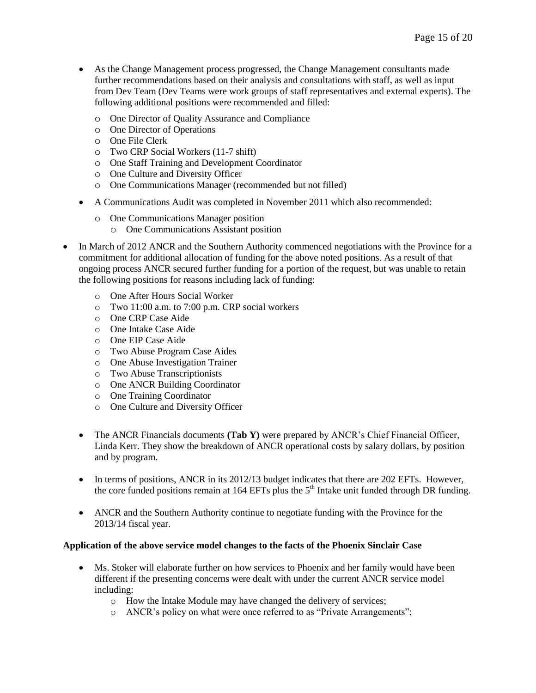- As the Change Management process progressed, the Change Management consultants made further recommendations based on their analysis and consultations with staff, as well as input from Dev Team (Dev Teams were work groups of staff representatives and external experts). The following additional positions were recommended and filled:
	- o One Director of Quality Assurance and Compliance
	- o One Director of Operations
	- o One File Clerk
	- o Two CRP Social Workers (11-7 shift)
	- o One Staff Training and Development Coordinator
	- o One Culture and Diversity Officer
	- o One Communications Manager (recommended but not filled)
- A Communications Audit was completed in November 2011 which also recommended:
	- o One Communications Manager position
		- o One Communications Assistant position
- In March of 2012 ANCR and the Southern Authority commenced negotiations with the Province for a commitment for additional allocation of funding for the above noted positions. As a result of that ongoing process ANCR secured further funding for a portion of the request, but was unable to retain the following positions for reasons including lack of funding:
	- o One After Hours Social Worker
	- o Two 11:00 a.m. to 7:00 p.m. CRP social workers
	- o One CRP Case Aide
	- o One Intake Case Aide
	- o One EIP Case Aide
	- o Two Abuse Program Case Aides
	- o One Abuse Investigation Trainer
	- o Two Abuse Transcriptionists
	- o One ANCR Building Coordinator
	- o One Training Coordinator
	- o One Culture and Diversity Officer
	- The ANCR Financials documents **(Tab Y)** were prepared by ANCR's Chief Financial Officer, Linda Kerr. They show the breakdown of ANCR operational costs by salary dollars, by position and by program.
	- In terms of positions, ANCR in its 2012/13 budget indicates that there are 202 EFTs. However, the core funded positions remain at 164 EFTs plus the  $5<sup>th</sup>$  Intake unit funded through DR funding.
	- ANCR and the Southern Authority continue to negotiate funding with the Province for the 2013/14 fiscal year.

#### **Application of the above service model changes to the facts of the Phoenix Sinclair Case**

- Ms. Stoker will elaborate further on how services to Phoenix and her family would have been different if the presenting concerns were dealt with under the current ANCR service model including:
	- o How the Intake Module may have changed the delivery of services;
	- o ANCR's policy on what were once referred to as "Private Arrangements";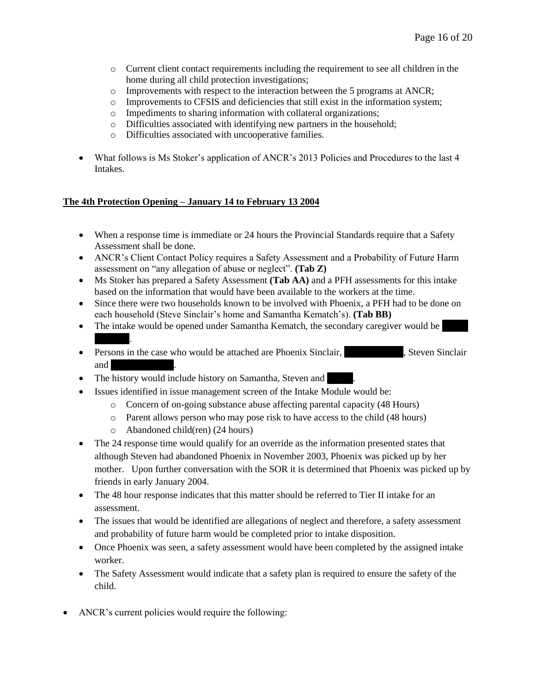- o Current client contact requirements including the requirement to see all children in the home during all child protection investigations;
- o Improvements with respect to the interaction between the 5 programs at ANCR;
- o Improvements to CFSIS and deficiencies that still exist in the information system;
- o Impediments to sharing information with collateral organizations;
- o Difficulties associated with identifying new partners in the household;
- o Difficulties associated with uncooperative families.
- What follows is Ms Stoker's application of ANCR's 2013 Policies and Procedures to the last 4 Intakes.

# **The 4th Protection Opening – January 14 to February 13 2004**

- When a response time is immediate or 24 hours the Provincial Standards require that a Safety Assessment shall be done.
- ANCR's Client Contact Policy requires a Safety Assessment and a Probability of Future Harm assessment on "any allegation of abuse or neglect". **(Tab Z)**
- Ms Stoker has prepared a Safety Assessment **(Tab AA)** and a PFH assessments for this intake based on the information that would have been available to the workers at the time.
- Since there were two households known to be involved with Phoenix, a PFH had to be done on each household (Steve Sinclair's home and Samantha Kematch's). **(Tab BB)**
- The intake would be opened under Samantha Kematch, the secondary caregiver would be Kematch.
- Persons in the case who would be attached are Phoenix Sinclair, Steven Sinclair and  $\overline{\phantom{a}}$
- The history would include history on Samantha, Steven and
- Issues identified in issue management screen of the Intake Module would be:
	- o Concern of on-going substance abuse affecting parental capacity (48 Hours)
	- o Parent allows person who may pose risk to have access to the child (48 hours)
	- o Abandoned child(ren) (24 hours)
- The 24 response time would qualify for an override as the information presented states that although Steven had abandoned Phoenix in November 2003, Phoenix was picked up by her mother. Upon further conversation with the SOR it is determined that Phoenix was picked up by friends in early January 2004.
- The 48 hour response indicates that this matter should be referred to Tier II intake for an assessment.
- The issues that would be identified are allegations of neglect and therefore, a safety assessment and probability of future harm would be completed prior to intake disposition.
- Once Phoenix was seen, a safety assessment would have been completed by the assigned intake worker.
- The Safety Assessment would indicate that a safety plan is required to ensure the safety of the child.
- ANCR's current policies would require the following: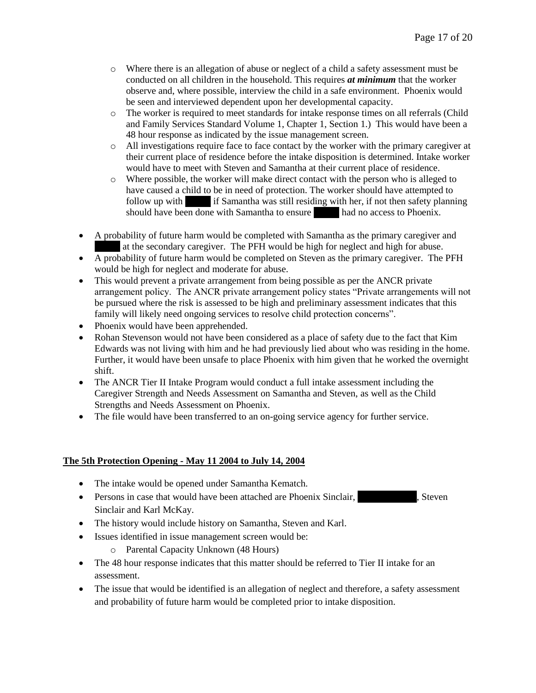- o Where there is an allegation of abuse or neglect of a child a safety assessment must be conducted on all children in the household. This requires *at minimum* that the worker observe and, where possible, interview the child in a safe environment. Phoenix would be seen and interviewed dependent upon her developmental capacity.
- o The worker is required to meet standards for intake response times on all referrals (Child and Family Services Standard Volume 1, Chapter 1, Section 1.) This would have been a 48 hour response as indicated by the issue management screen.
- o All investigations require face to face contact by the worker with the primary caregiver at their current place of residence before the intake disposition is determined. Intake worker would have to meet with Steven and Samantha at their current place of residence.
- o Where possible, the worker will make direct contact with the person who is alleged to have caused a child to be in need of protection. The worker should have attempted to follow up with if Samantha was still residing with her, if not then safety planning should have been done with Samantha to ensure had no access to Phoenix.
- A probability of future harm would be completed with Samantha as the primary caregiver and at the secondary caregiver. The PFH would be high for neglect and high for abuse.
- A probability of future harm would be completed on Steven as the primary caregiver. The PFH would be high for neglect and moderate for abuse.
- This would prevent a private arrangement from being possible as per the ANCR private arrangement policy. The ANCR private arrangement policy states "Private arrangements will not be pursued where the risk is assessed to be high and preliminary assessment indicates that this family will likely need ongoing services to resolve child protection concerns".
- Phoenix would have been apprehended.
- Rohan Stevenson would not have been considered as a place of safety due to the fact that Kim Edwards was not living with him and he had previously lied about who was residing in the home. Further, it would have been unsafe to place Phoenix with him given that he worked the overnight shift.
- The ANCR Tier II Intake Program would conduct a full intake assessment including the Caregiver Strength and Needs Assessment on Samantha and Steven, as well as the Child Strengths and Needs Assessment on Phoenix.
- The file would have been transferred to an on-going service agency for further service.

# **The 5th Protection Opening - May 11 2004 to July 14, 2004**

- The intake would be opened under Samantha Kematch.
- Persons in case that would have been attached are Phoenix Sinclair, Steven Sinclair and Karl McKay.
- The history would include history on Samantha, Steven and Karl.
- Issues identified in issue management screen would be:
	- o Parental Capacity Unknown (48 Hours)
- The 48 hour response indicates that this matter should be referred to Tier II intake for an assessment.
- The issue that would be identified is an allegation of neglect and therefore, a safety assessment and probability of future harm would be completed prior to intake disposition.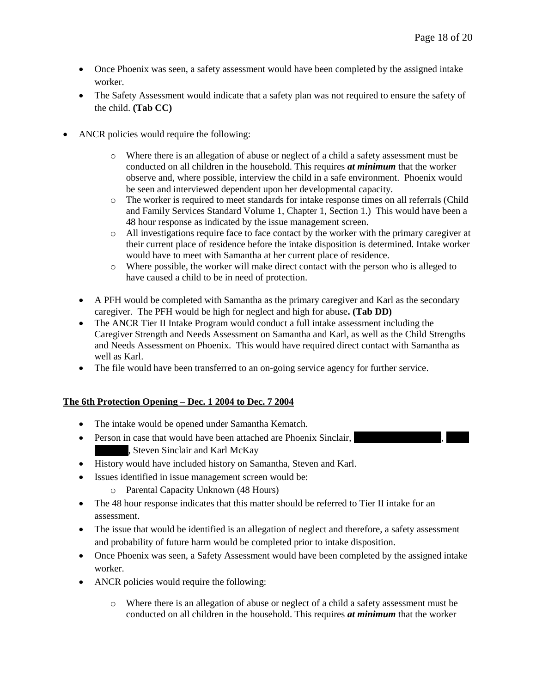- Once Phoenix was seen, a safety assessment would have been completed by the assigned intake worker.
- The Safety Assessment would indicate that a safety plan was not required to ensure the safety of the child. **(Tab CC)**
- ANCR policies would require the following:
	- o Where there is an allegation of abuse or neglect of a child a safety assessment must be conducted on all children in the household. This requires *at minimum* that the worker observe and, where possible, interview the child in a safe environment. Phoenix would be seen and interviewed dependent upon her developmental capacity.
	- o The worker is required to meet standards for intake response times on all referrals (Child and Family Services Standard Volume 1, Chapter 1, Section 1.) This would have been a 48 hour response as indicated by the issue management screen.
	- o All investigations require face to face contact by the worker with the primary caregiver at their current place of residence before the intake disposition is determined. Intake worker would have to meet with Samantha at her current place of residence.
	- o Where possible, the worker will make direct contact with the person who is alleged to have caused a child to be in need of protection.
	- A PFH would be completed with Samantha as the primary caregiver and Karl as the secondary caregiver. The PFH would be high for neglect and high for abuse**. (Tab DD)**
	- The ANCR Tier II Intake Program would conduct a full intake assessment including the Caregiver Strength and Needs Assessment on Samantha and Karl, as well as the Child Strengths and Needs Assessment on Phoenix. This would have required direct contact with Samantha as well as Karl.
	- The file would have been transferred to an on-going service agency for further service.

# **The 6th Protection Opening – Dec. 1 2004 to Dec. 7 2004**

- The intake would be opened under Samantha Kematch.
- Person in case that would have been attached are Phoenix Sinclair, , Steven Sinclair and Karl McKay
- History would have included history on Samantha, Steven and Karl.
- Issues identified in issue management screen would be:
	- o Parental Capacity Unknown (48 Hours)
- The 48 hour response indicates that this matter should be referred to Tier II intake for an assessment.
- The issue that would be identified is an allegation of neglect and therefore, a safety assessment and probability of future harm would be completed prior to intake disposition.
- Once Phoenix was seen, a Safety Assessment would have been completed by the assigned intake worker.
- ANCR policies would require the following:
	- o Where there is an allegation of abuse or neglect of a child a safety assessment must be conducted on all children in the household. This requires *at minimum* that the worker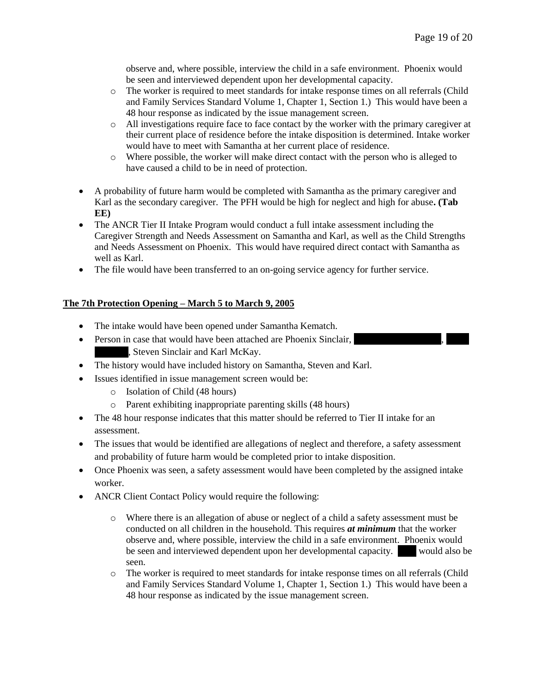observe and, where possible, interview the child in a safe environment. Phoenix would be seen and interviewed dependent upon her developmental capacity.

- o The worker is required to meet standards for intake response times on all referrals (Child and Family Services Standard Volume 1, Chapter 1, Section 1.) This would have been a 48 hour response as indicated by the issue management screen.
- o All investigations require face to face contact by the worker with the primary caregiver at their current place of residence before the intake disposition is determined. Intake worker would have to meet with Samantha at her current place of residence.
- o Where possible, the worker will make direct contact with the person who is alleged to have caused a child to be in need of protection.
- A probability of future harm would be completed with Samantha as the primary caregiver and Karl as the secondary caregiver. The PFH would be high for neglect and high for abuse**. (Tab EE)**
- The ANCR Tier II Intake Program would conduct a full intake assessment including the Caregiver Strength and Needs Assessment on Samantha and Karl, as well as the Child Strengths and Needs Assessment on Phoenix. This would have required direct contact with Samantha as well as Karl.
- The file would have been transferred to an on-going service agency for further service.

# **The 7th Protection Opening – March 5 to March 9, 2005**

- The intake would have been opened under Samantha Kematch.
- Person in case that would have been attached are Phoenix Sinclair, , Steven Sinclair and Karl McKay.
- The history would have included history on Samantha, Steven and Karl.
- Issues identified in issue management screen would be:
	- o Isolation of Child (48 hours)
	- o Parent exhibiting inappropriate parenting skills (48 hours)
- The 48 hour response indicates that this matter should be referred to Tier II intake for an assessment.
- The issues that would be identified are allegations of neglect and therefore, a safety assessment and probability of future harm would be completed prior to intake disposition.
- Once Phoenix was seen, a safety assessment would have been completed by the assigned intake worker.
- ANCR Client Contact Policy would require the following:
	- o Where there is an allegation of abuse or neglect of a child a safety assessment must be conducted on all children in the household. This requires *at minimum* that the worker observe and, where possible, interview the child in a safe environment. Phoenix would be seen and interviewed dependent upon her developmental capacity. Would also be seen.
	- o The worker is required to meet standards for intake response times on all referrals (Child and Family Services Standard Volume 1, Chapter 1, Section 1.) This would have been a 48 hour response as indicated by the issue management screen.